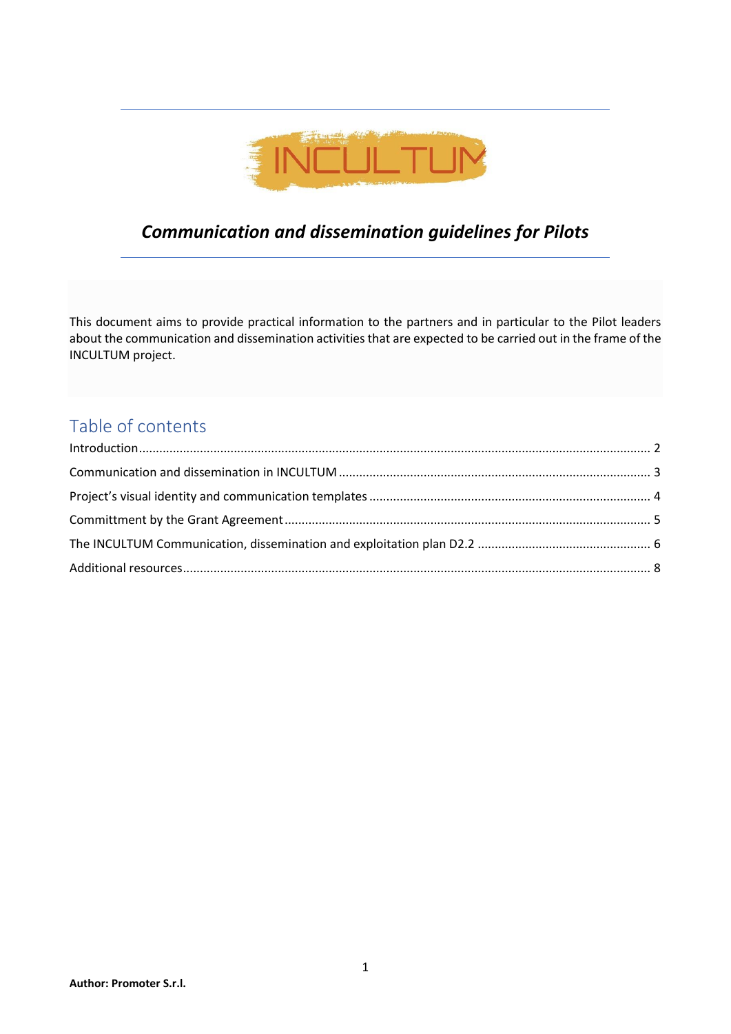

# *Communication and dissemination guidelines for Pilots*

This document aims to provide practical information to the partners and in particular to the Pilot leaders about the communication and dissemination activities that are expected to be carried out in the frame of the INCULTUM project.

## Table of contents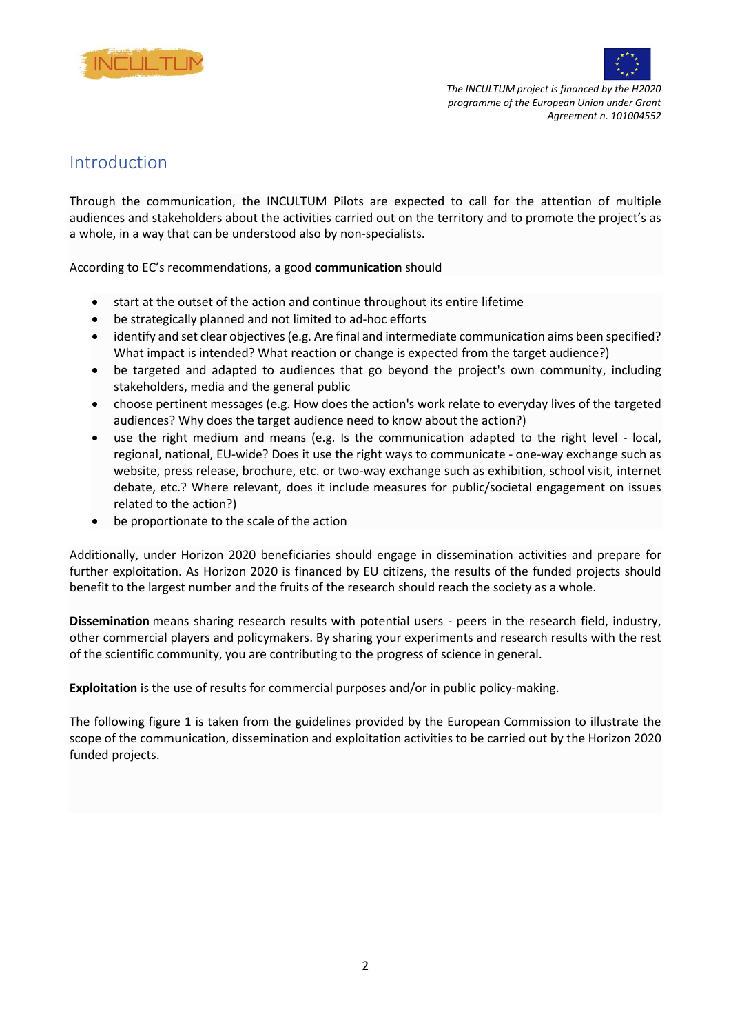



### <span id="page-1-0"></span>Introduction

Through the communication, the INCULTUM Pilots are expected to call for the attention of multiple audiences and stakeholders about the activities carried out on the territory and to promote the project's as a whole, in a way that can be understood also by non-specialists.

According to EC's recommendations, a good **communication** should

- start at the outset of the action and continue throughout its entire lifetime
- be strategically planned and not limited to ad-hoc efforts
- identify and set clear objectives (e.g. Are final and intermediate communication aims been specified? What impact is intended? What reaction or change is expected from the target audience?)
- be targeted and adapted to audiences that go beyond the project's own community, including stakeholders, media and the general public
- choose pertinent messages (e.g. How does the action's work relate to everyday lives of the targeted audiences? Why does the target audience need to know about the action?)
- use the right medium and means (e.g. Is the communication adapted to the right level local, regional, national, EU-wide? Does it use the right ways to communicate - one-way exchange such as website, press release, brochure, etc. or two-way exchange such as exhibition, school visit, internet debate, etc.? Where relevant, does it include measures for public/societal engagement on issues related to the action?)
- be proportionate to the scale of the action

Additionally, under Horizon 2020 beneficiaries should engage in dissemination activities and prepare for further exploitation. As Horizon 2020 is financed by EU citizens, the results of the funded projects should benefit to the largest number and the fruits of the research should reach the society as a whole.

**Dissemination** means sharing research results with potential users - peers in the research field, industry, other commercial players and policymakers. By sharing your experiments and research results with the rest of the scientific community, you are contributing to the progress of science in general.

**Exploitation** is the use of results for commercial purposes and/or in public policy-making.

The following figure 1 is taken from the guidelines provided by the European Commission to illustrate the scope of the communication, dissemination and exploitation activities to be carried out by the Horizon 2020 funded projects.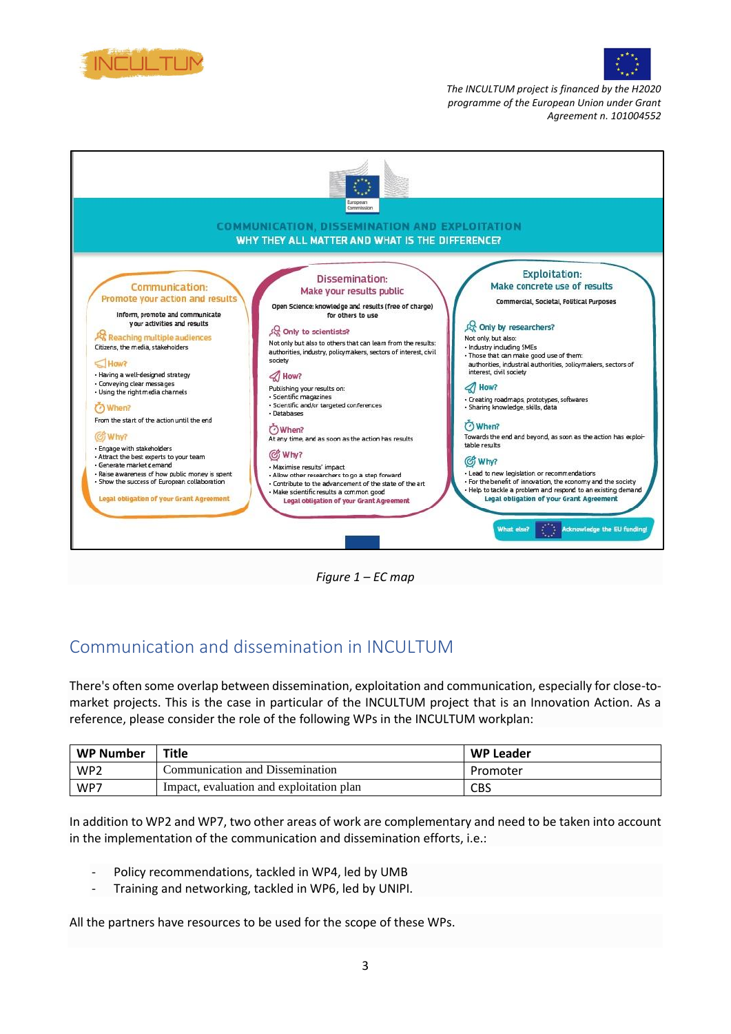





*Figure 1 – EC map*

## <span id="page-2-0"></span>Communication and dissemination in INCULTUM

There's often some overlap between dissemination, exploitation and communication, especially for close-tomarket projects. This is the case in particular of the INCULTUM project that is an Innovation Action. As a reference, please consider the role of the following WPs in the INCULTUM workplan:

| WP Number       | Title                                    | <b>WP Leader</b> |
|-----------------|------------------------------------------|------------------|
| WP <sub>2</sub> | Communication and Dissemination          | Promoter         |
| WP7             | Impact, evaluation and exploitation plan | CBS              |

In addition to WP2 and WP7, two other areas of work are complementary and need to be taken into account in the implementation of the communication and dissemination efforts, i.e.:

- Policy recommendations, tackled in WP4, led by UMB
- Training and networking, tackled in WP6, led by UNIPI.

All the partners have resources to be used for the scope of these WPs.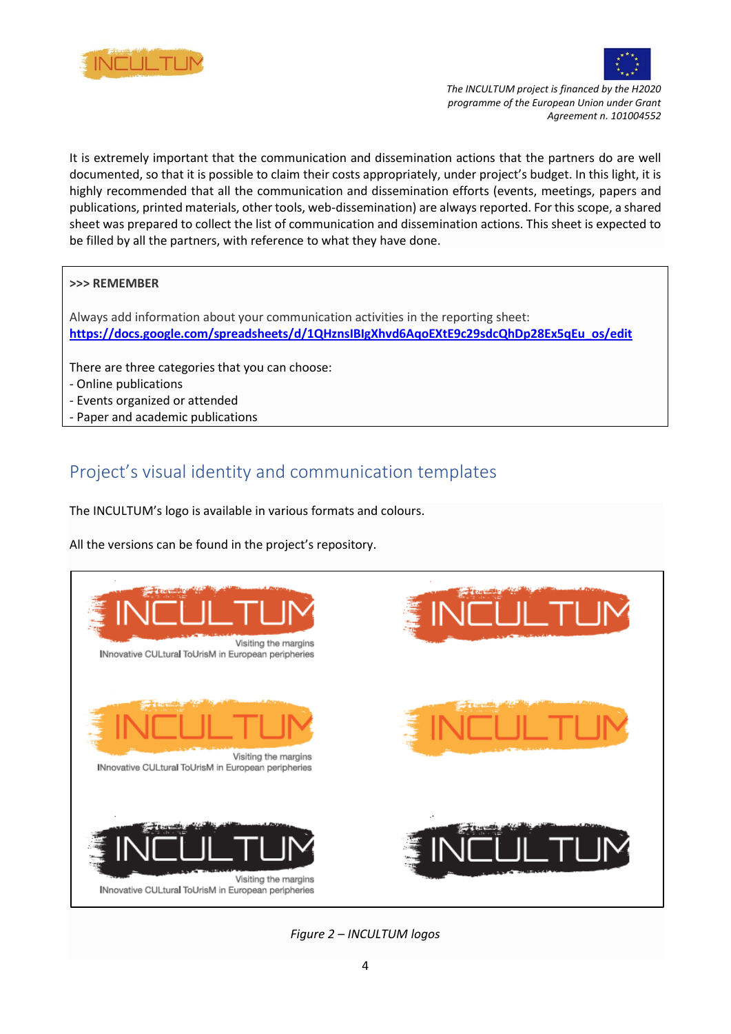



It is extremely important that the communication and dissemination actions that the partners do are well documented, so that it is possible to claim their costs appropriately, under project's budget. In this light, it is highly recommended that all the communication and dissemination efforts (events, meetings, papers and publications, printed materials, other tools, web-dissemination) are always reported. For this scope, a shared sheet was prepared to collect the list of communication and dissemination actions. This sheet is expected to be filled by all the partners, with reference to what they have done.

#### **>>> REMEMBER**

Always add information about your communication activities in the reporting sheet: **[https://docs.google.com/spreadsheets/d/1QHznsIBIgXhvd6AqoEXtE9c29sdcQhDp28Ex5qEu\\_os/edit](https://docs.google.com/spreadsheets/d/1QHznsIBIgXhvd6AqoEXtE9c29sdcQhDp28Ex5qEu_os/edit)**

There are three categories that you can choose:

- Online publications
- Events organized or attended
- Paper and academic publications

# <span id="page-3-0"></span>Project's visual identity and communication templates

The INCULTUM's logo is available in various formats and colours.

All the versions can be found in the project's repository.



*Figure 2 – INCULTUM logos*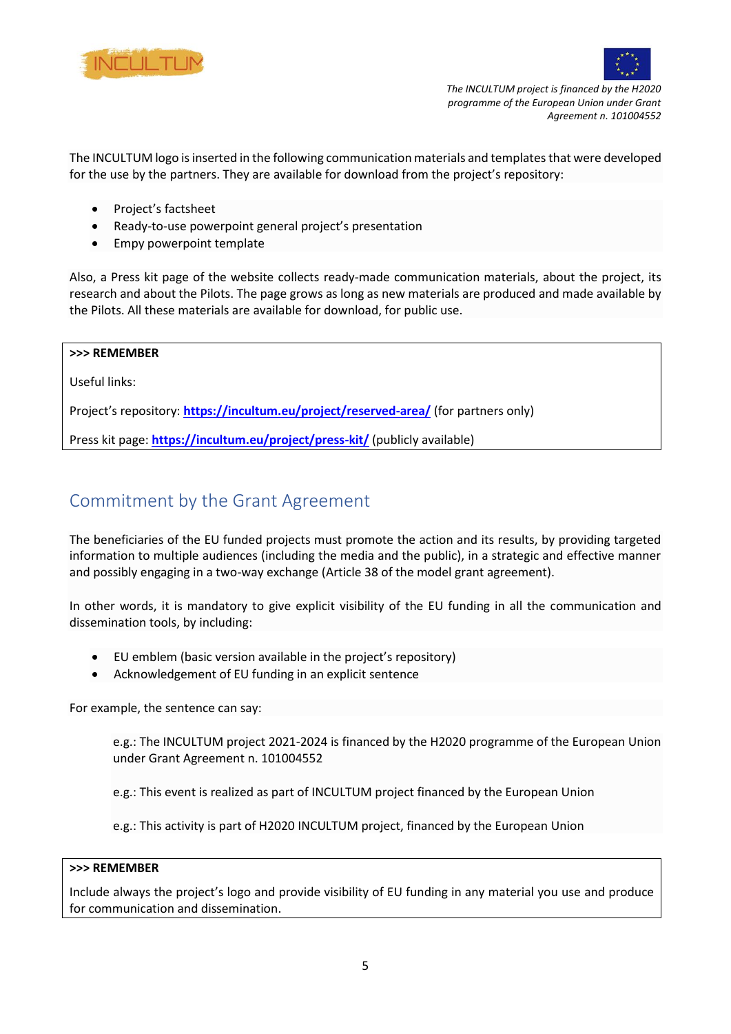



The INCULTUM logo is inserted in the following communication materials and templates that were developed for the use by the partners. They are available for download from the project's repository:

- Project's factsheet
- Ready-to-use powerpoint general project's presentation
- Empy powerpoint template

Also, a Press kit page of the website collects ready-made communication materials, about the project, its research and about the Pilots. The page grows as long as new materials are produced and made available by the Pilots. All these materials are available for download, for public use.

#### **>>> REMEMBER**

Useful links:

Project's repository: **<https://incultum.eu/project/reserved-area/>** (for partners only)

Press kit page: **<https://incultum.eu/project/press-kit/>** (publicly available)

### <span id="page-4-0"></span>Commitment by the Grant Agreement

The beneficiaries of the EU funded projects must promote the action and its results, by providing targeted information to multiple audiences (including the media and the public), in a strategic and effective manner and possibly engaging in a two-way exchange [\(Article 38 of the model grant agreement\)](https://ec.europa.eu/research/participants/data/ref/h2020/mga/gga/h2020-mga-gga-mono_en.pdf#page=72).

In other words, it is mandatory to give explicit visibility of the EU funding in all the communication and dissemination tools, by including:

- EU emblem (basic version available in the project's repository)
- Acknowledgement of EU funding in an explicit sentence

For example, the sentence can say:

e.g.: The INCULTUM project 2021-2024 is financed by the H2020 programme of the European Union under Grant Agreement n. 101004552

e.g.: This event is realized as part of INCULTUM project financed by the European Union

e.g.: This activity is part of H2020 INCULTUM project, financed by the European Union

#### **>>> REMEMBER**

Include always the project's logo and provide visibility of EU funding in any material you use and produce for communication and dissemination.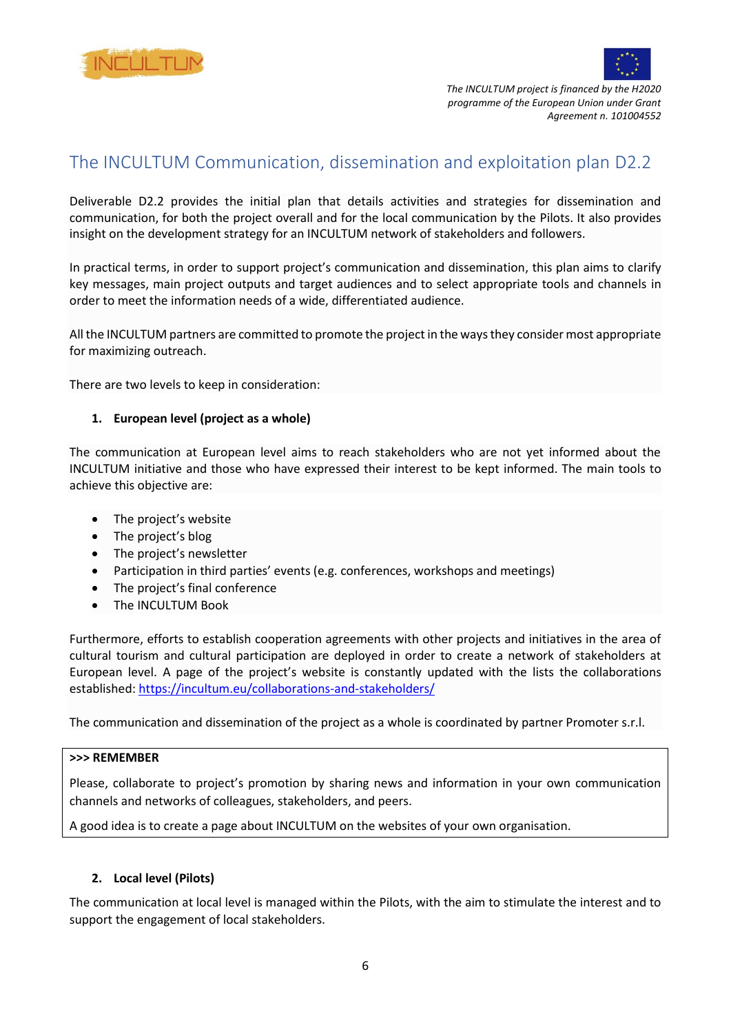



## <span id="page-5-0"></span>The INCULTUM Communication, dissemination and exploitation plan D2.2

Deliverable D2.2 provides the initial plan that details activities and strategies for dissemination and communication, for both the project overall and for the local communication by the Pilots. It also provides insight on the development strategy for an INCULTUM network of stakeholders and followers.

In practical terms, in order to support project's communication and dissemination, this plan aims to clarify key messages, main project outputs and target audiences and to select appropriate tools and channels in order to meet the information needs of a wide, differentiated audience.

All the INCULTUM partners are committed to promote the project in the ways they consider most appropriate for maximizing outreach.

There are two levels to keep in consideration:

#### **1. European level (project as a whole)**

The communication at European level aims to reach stakeholders who are not yet informed about the INCULTUM initiative and those who have expressed their interest to be kept informed. The main tools to achieve this objective are:

- The project's website
- The project's blog
- The project's newsletter
- Participation in third parties' events (e.g. conferences, workshops and meetings)
- The project's final conference
- The INCULTUM Book

Furthermore, efforts to establish cooperation agreements with other projects and initiatives in the area of cultural tourism and cultural participation are deployed in order to create a network of stakeholders at European level. A page of the project's website is constantly updated with the lists the collaborations established: <https://incultum.eu/collaborations-and-stakeholders/>

The communication and dissemination of the project as a whole is coordinated by partner Promoter s.r.l.

#### **>>> REMEMBER**

Please, collaborate to project's promotion by sharing news and information in your own communication channels and networks of colleagues, stakeholders, and peers.

A good idea is to create a page about INCULTUM on the websites of your own organisation.

#### **2. Local level (Pilots)**

The communication at local level is managed within the Pilots, with the aim to stimulate the interest and to support the engagement of local stakeholders.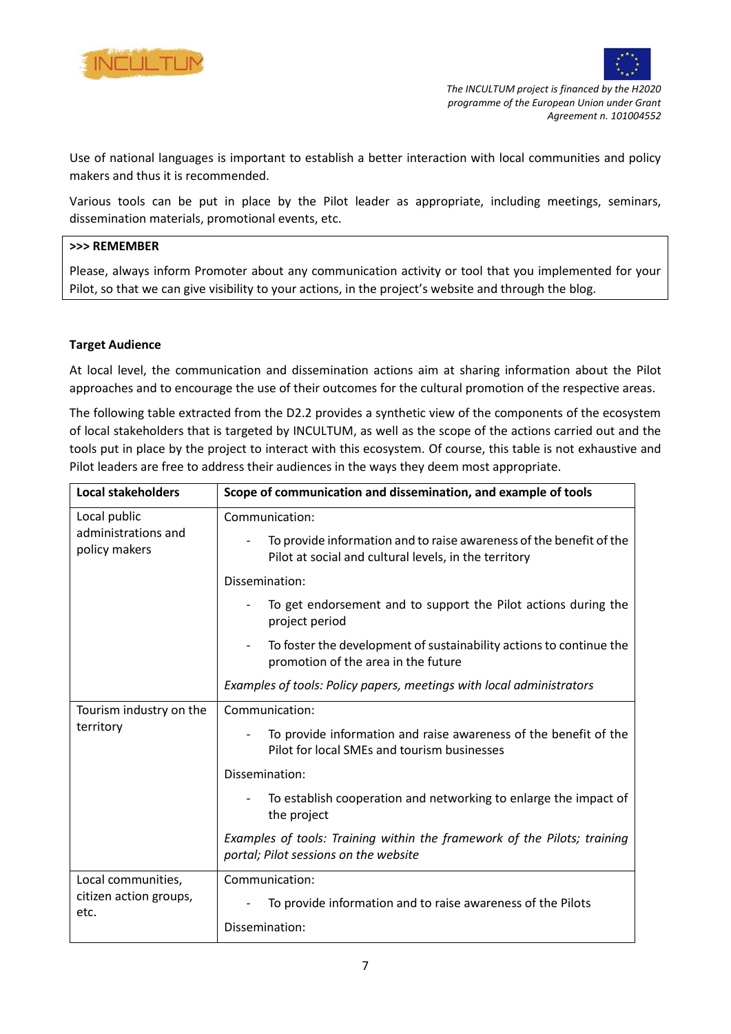



Use of national languages is important to establish a better interaction with local communities and policy makers and thus it is recommended.

Various tools can be put in place by the Pilot leader as appropriate, including meetings, seminars, dissemination materials, promotional events, etc.

#### **>>> REMEMBER**

Please, always inform Promoter about any communication activity or tool that you implemented for your Pilot, so that we can give visibility to your actions, in the project's website and through the blog.

#### **Target Audience**

At local level, the communication and dissemination actions aim at sharing information about the Pilot approaches and to encourage the use of their outcomes for the cultural promotion of the respective areas.

The following table extracted from the D2.2 provides a synthetic view of the components of the ecosystem of local stakeholders that is targeted by INCULTUM, as well as the scope of the actions carried out and the tools put in place by the project to interact with this ecosystem. Of course, this table is not exhaustive and Pilot leaders are free to address their audiences in the ways they deem most appropriate.

| <b>Local stakeholders</b>                            | Scope of communication and dissemination, and example of tools                                                               |
|------------------------------------------------------|------------------------------------------------------------------------------------------------------------------------------|
| Local public<br>administrations and<br>policy makers | Communication:                                                                                                               |
|                                                      | To provide information and to raise awareness of the benefit of the<br>Pilot at social and cultural levels, in the territory |
|                                                      | Dissemination:                                                                                                               |
|                                                      | To get endorsement and to support the Pilot actions during the<br>project period                                             |
|                                                      | To foster the development of sustainability actions to continue the<br>promotion of the area in the future                   |
|                                                      | Examples of tools: Policy papers, meetings with local administrators                                                         |
| Tourism industry on the                              | Communication:                                                                                                               |
| territory                                            | To provide information and raise awareness of the benefit of the<br>Pilot for local SMEs and tourism businesses              |
|                                                      | Dissemination:                                                                                                               |
|                                                      | To establish cooperation and networking to enlarge the impact of<br>the project                                              |
|                                                      | Examples of tools: Training within the framework of the Pilots; training<br>portal; Pilot sessions on the website            |
| Local communities,                                   | Communication:                                                                                                               |
| citizen action groups,<br>etc.                       | To provide information and to raise awareness of the Pilots                                                                  |
|                                                      | Dissemination:                                                                                                               |